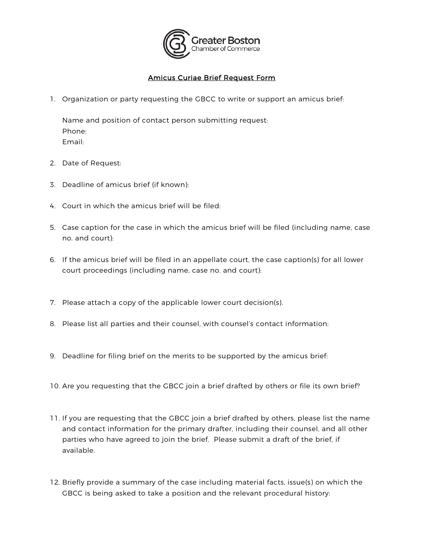

## Amicus Curiae Brief Request Form

1. Organization or party requesting the GBCC to write or support an amicus brief:

Name and position of contact person submitting request: Phone: Email:

- 2. Date of Request:
- 3. Deadline of amicus brief (if known):
- 4. Court in which the amicus brief will be filed:
- 5. Case caption for the case in which the amicus brief will be filed (including name, case no. and court):
- 6. If the amicus brief will be filed in an appellate court, the case caption(s) for all lower court proceedings (including name, case no. and court):
- 7. Please attach a copy of the applicable lower court decision(s).
- 8. Please list all parties and their counsel, with counsel's contact information:
- 9. Deadline for filing brief on the merits to be supported by the amicus brief:
- 10. Are you requesting that the GBCC join a brief drafted by others or file its own brief?
- 11. If you are requesting that the GBCC join a brief drafted by others, please list the name and contact information for the primary drafter, including their counsel, and all other parties who have agreed to join the brief. Please submit a draft of the brief, if available.
- 12. Briefly provide a summary of the case including material facts, issue(s) on which the GBCC is being asked to take a position and the relevant procedural history: